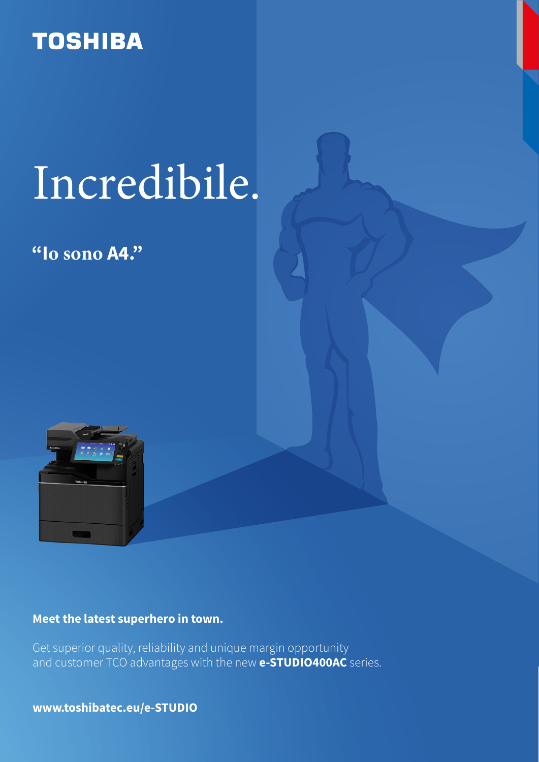## **TOSHIBA**

# Sorprendente.

### **"Io sono A4."**



### **L'ultimo Supereroe arrivato in città**

Qualità e affidabilità: le caratteristiche della serie **e-STUDIO400AC**